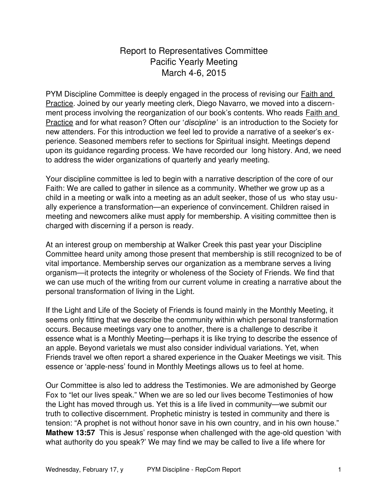## Report to Representatives Committee Pacific Yearly Meeting March 4-6, 2015

PYM Discipline Committee is deeply engaged in the process of revising our Faith and Practice. Joined by our yearly meeting clerk, Diego Navarro, we moved into a discernment process involving the reorganization of our book's contents. Who reads Faith and Practice and for what reason? Often our '*discipline'* is an introduction to the Society for new attenders. For this introduction we feel led to provide a narrative of a seeker's experience. Seasoned members refer to sections for Spiritual insight. Meetings depend upon its guidance regarding process. We have recorded our long history. And, we need to address the wider organizations of quarterly and yearly meeting.

Your discipline committee is led to begin with a narrative description of the core of our Faith: We are called to gather in silence as a community. Whether we grow up as a child in a meeting or walk into a meeting as an adult seeker, those of us who stay usually experience a transformation—an experience of convincement. Children raised in meeting and newcomers alike must apply for membership. A visiting committee then is charged with discerning if a person is ready.

At an interest group on membership at Walker Creek this past year your Discipline Committee heard unity among those present that membership is still recognized to be of vital importance. Membership serves our organization as a membrane serves a living organism—it protects the integrity or wholeness of the Society of Friends. We find that we can use much of the writing from our current volume in creating a narrative about the personal transformation of living in the Light.

If the Light and Life of the Society of Friends is found mainly in the Monthly Meeting, it seems only fitting that we describe the community within which personal transformation occurs. Because meetings vary one to another, there is a challenge to describe it essence what is a Monthly Meeting—perhaps it is like trying to describe the essence of an apple. Beyond varietals we must also consider individual variations. Yet, when Friends travel we often report a shared experience in the Quaker Meetings we visit. This essence or 'apple-ness' found in Monthly Meetings allows us to feel at home.

Our Committee is also led to address the Testimonies. We are admonished by George Fox to "let our lives speak." When we are so led our lives become Testimonies of how the Light has moved through us. Yet this is a life lived in community—we submit our truth to collective discernment. Prophetic ministry is tested in community and there is tension: "A prophet is not without honor save in his own country, and in his own house." **Mathew 13:57** This is Jesus' response when challenged with the age-old question 'with what authority do you speak?' We may find we may be called to live a life where for